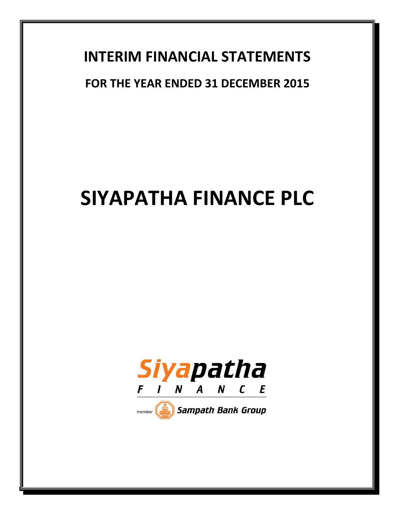# **INTERIM FINANCIAL STATEMENTS**

# **FOR THE YEAR ENDED 31 DECEMBER 2015**

# **SIYAPATHA FINANCE PLC**



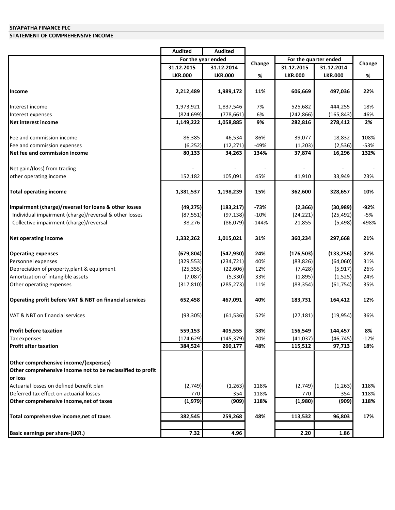### **STATEMENT OF COMPREHENSIVE INCOME**

|                                                             | <b>Audited</b>     | <b>Audited</b> |         |                       |                |        |
|-------------------------------------------------------------|--------------------|----------------|---------|-----------------------|----------------|--------|
|                                                             | For the year ended |                |         | For the quarter ended |                |        |
|                                                             | 31.12.2015         | 31.12.2014     | Change  | 31.12.2015            | 31.12.2014     | Change |
|                                                             | <b>LKR.000</b>     | <b>LKR.000</b> | %       | <b>LKR.000</b>        | <b>LKR.000</b> | %      |
|                                                             |                    |                |         |                       |                |        |
| Income                                                      | 2,212,489          | 1,989,172      | 11%     | 606,669               | 497,036        | 22%    |
| Interest income                                             | 1,973,921          | 1,837,546      | 7%      | 525,682               | 444,255        | 18%    |
| Interest expenses                                           | (824, 699)         | (778, 661)     | 6%      | (242, 866)            | (165, 843)     | 46%    |
| Net interest income                                         | 1,149,222          | 1,058,885      | 9%      | 282,816               | 278,412        | 2%     |
| Fee and commission income                                   | 86,385             | 46,534         | 86%     | 39,077                | 18,832         | 108%   |
| Fee and commission expenses                                 | (6, 252)           | (12, 271)      | $-49%$  | (1,203)               | (2,536)        | $-53%$ |
| Net fee and commission income                               | 80,133             | 34,263         | 134%    | 37,874                | 16,296         | 132%   |
| Net gain/(loss) from trading                                |                    |                |         |                       |                |        |
| other operating income                                      | 152,182            | 105,091        | 45%     | 41,910                | 33,949         | 23%    |
| <b>Total operating income</b>                               | 1,381,537          | 1,198,239      | 15%     | 362,600               | 328,657        | 10%    |
| Impairment (charge)/reversal for loans & other losses       | (49, 275)          | (183, 217)     | $-73%$  | (2,366)               | (30, 989)      | $-92%$ |
| Individual impairment (charge)/reversal & other losses      | (87, 551)          | (97, 138)      | $-10%$  | (24, 221)             | (25, 492)      | $-5%$  |
| Collective impairment (charge)/reversal                     | 38,276             | (86,079)       | $-144%$ | 21,855                | (5, 498)       | -498%  |
| <b>Net operating income</b>                                 | 1,332,262          | 1,015,021      | 31%     | 360,234               | 297,668        | 21%    |
| <b>Operating expenses</b>                                   | (679, 804)         | (547, 930)     | 24%     | (176, 503)            | (133, 256)     | 32%    |
| Personnel expenses                                          | (329, 553)         | (234, 721)     | 40%     | (83, 826)             | (64,060)       | 31%    |
| Depreciation of property, plant & equipment                 | (25, 355)          | (22,606)       | 12%     | (7, 428)              | (5, 917)       | 26%    |
| Amortization of intangible assets                           | (7,087)            | (5, 330)       | 33%     | (1,895)               | (1,525)        | 24%    |
| Other operating expenses                                    | (317, 810)         | (285, 273)     | 11%     | (83, 354)             | (61, 754)      | 35%    |
| Operating profit before VAT & NBT on financial services     | 652,458            | 467,091        | 40%     | 183,731               | 164,412        | 12%    |
| VAT & NBT on financial services                             | (93, 305)          | (61, 536)      | 52%     | (27, 181)             | (19, 954)      | 36%    |
| <b>Profit before taxation</b>                               | 559,153            | 405,555        | 38%     | 156,549               | 144,457        | 8%     |
| Tax expenses                                                | (174, 629)         | (145, 379)     | 20%     | (41, 037)             | (46, 745)      | $-12%$ |
| <b>Profit after taxation</b>                                | 384,524            | 260,177        | 48%     | 115,512               | 97,713         | 18%    |
| Other comprehensive income/(expenses)                       |                    |                |         |                       |                |        |
| Other comprehensive income not to be reclassified to profit |                    |                |         |                       |                |        |
| or loss                                                     |                    |                |         |                       |                |        |
| Actuarial losses on defined benefit plan                    | (2,749)            | (1, 263)       | 118%    | (2,749)               | (1,263)        | 118%   |
| Deferred tax effect on actuarial losses                     | 770                | 354            | 118%    | 770                   | 354            | 118%   |
| Other comprehensive income, net of taxes                    | (1,979)            | (909)          | 118%    | (1,980)               | (909)          | 118%   |
| Total comprehensive income, net of taxes                    | 382,545            | 259,268        | 48%     | 113,532               | 96,803         | 17%    |
|                                                             |                    |                |         |                       |                |        |
| <b>Basic earnings per share-(LKR.)</b>                      | 7.32               | 4.96           |         | 2.20                  | 1.86           |        |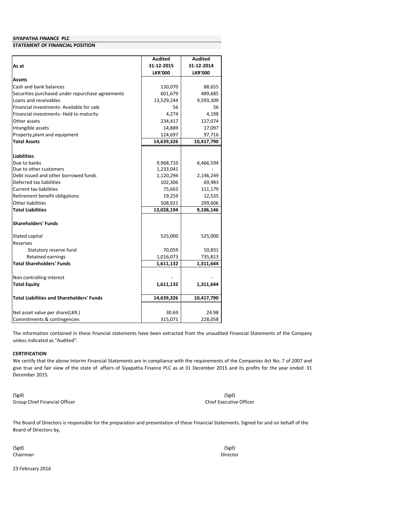#### **STATEMENT OF FINANCIAL POSITION**

|                                                       | <b>Audited</b> | <b>Audited</b> |
|-------------------------------------------------------|----------------|----------------|
| As at                                                 | 31-12-2015     | 31-12-2014     |
|                                                       | <b>LKR'000</b> | <b>LKR'000</b> |
| <b>Assets</b>                                         |                |                |
| Cash and bank balances                                | 130,070        | 88,655         |
| Securities purchased under repurchase agreements      | 601,679        | 489,685        |
| Loans and receivables                                 | 13,529,244     | 9,593,309      |
| Financial investments- Available for sale             | 56             | 56             |
| Financial investments- Held to maturity               | 4.274          | 4,198          |
| Other assets                                          | 234,417        | 127,074        |
| Intangible assets                                     | 14,889         | 17,097         |
| Property, plant and equipment                         | 124,697        | 97,716         |
| <b>Total Assets</b>                                   | 14,639,326     | 10,417,790     |
|                                                       |                |                |
| <b>Liabilities</b>                                    |                |                |
| Due to banks                                          | 9,968,710      | 6,466,594      |
| Due to other customers                                | 1,233,041      |                |
| Debt issued and other borrowed funds                  | 1,120,294      | 2,146,249      |
| Deferred tax liabilities                              | 102,306        | 69,983         |
| <b>Current tax liabilities</b>                        | 75,663         | 111,179        |
| Retirement benefit obligations                        | 19,259         | 12,535         |
| Other liabilities                                     | 508,921        | 299,606        |
| <b>Total Liabilities</b>                              | 13,028,194     | 9,106,146      |
|                                                       |                |                |
| <b>Shareholders' Funds</b>                            |                |                |
|                                                       |                |                |
| Stated capital                                        | 525,000        | 525,000        |
| Reserves                                              |                |                |
| Statutory reserve fund                                | 70,059         | 50,831         |
| Retained earnings<br><b>Total Shareholders' Funds</b> | 1,016,073      | 735,813        |
|                                                       | 1,611,132      | 1,311,644      |
| Non controlling interest                              |                |                |
| <b>Total Equity</b>                                   | 1,611,132      | 1,311,644      |
|                                                       |                |                |
| <b>Total Liabilities and Shareholders' Funds</b>      | 14,639,326     | 10,417,790     |
|                                                       |                |                |
| Net asset value per share(LKR.)                       | 30.69          | 24.98          |
| Commitments & contingencies                           | 315,071        | 228,058        |

The information contained in these financial statements have been extracted from the unaudited Financial Statements of the Company unless indicated as "Audited".

#### **CERTIFICATION**

We certify that the above Interim Financial Statements are in compliance with the requirements of the Companies Act No: 7 of 2007 and give true and fair view of the state of affairs of Siyapatha Finance PLC as at 31 December 2015 and its profits for the year ended 31 December 2015.

(Sgd) Group Chief Financial Officer

(Sgd) Chief Executive Officer

The Board of Directors is responsible for the preparation and presentation of these Financial Statements. Signed for and on behalf of the Board of Directors by,

(Sgd) Chairman

(Sgd) Director

23 February 2016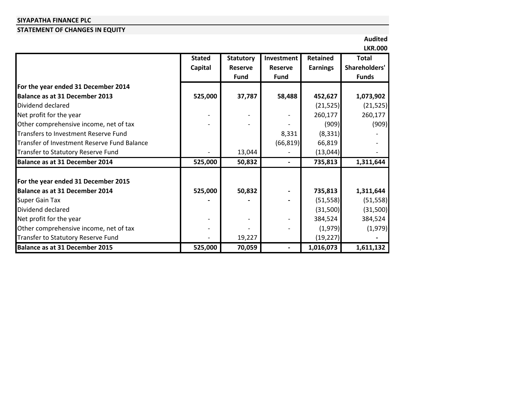# **STATEMENT OF CHANGES IN EQUITY**

**Audited LKR.000**

|                                             |               |                  |                |                 | LKK.UUU       |
|---------------------------------------------|---------------|------------------|----------------|-----------------|---------------|
|                                             | <b>Stated</b> | <b>Statutory</b> | Investment     | Retained        | <b>Total</b>  |
|                                             | Capital       | <b>Reserve</b>   | <b>Reserve</b> | <b>Earnings</b> | Shareholders' |
|                                             |               | <b>Fund</b>      | Fund           |                 | <b>Funds</b>  |
| For the year ended 31 December 2014         |               |                  |                |                 |               |
| Balance as at 31 December 2013              | 525,000       | 37,787           | 58,488         | 452,627         | 1,073,902     |
| Dividend declared                           |               |                  |                | (21, 525)       | (21, 525)     |
| Net profit for the year                     |               |                  |                | 260,177         | 260,177       |
| Other comprehensive income, net of tax      |               |                  |                | (909)           | (909)         |
| <b>Transfers to Investment Reserve Fund</b> |               |                  | 8,331          | (8, 331)        |               |
| Transfer of Investment Reserve Fund Balance |               |                  | (66, 819)      | 66,819          |               |
| Transfer to Statutory Reserve Fund          |               | 13,044           |                | (13,044)        |               |
| <b>Balance as at 31 December 2014</b>       | 525,000       | 50,832           |                | 735,813         | 1,311,644     |
| For the year ended 31 December 2015         |               |                  |                |                 |               |
| <b>Balance as at 31 December 2014</b>       | 525,000       | 50,832           |                | 735,813         | 1,311,644     |
| <b>Super Gain Tax</b>                       |               |                  |                | (51, 558)       | (51, 558)     |
| Dividend declared                           |               |                  |                | (31,500)        | (31,500)      |
| Net profit for the year                     |               |                  |                | 384,524         | 384,524       |
| Other comprehensive income, net of tax      |               |                  |                | (1,979)         | (1,979)       |
| Transfer to Statutory Reserve Fund          |               | 19,227           |                | (19, 227)       |               |
| <b>Balance as at 31 December 2015</b>       | 525,000       | 70,059           |                | 1,016,073       | 1,611,132     |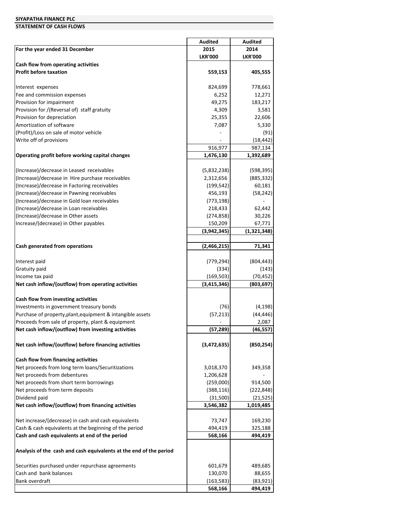#### **STATEMENT OF CASH FLOWS**

|                                                                    | Audited        | <b>Audited</b> |
|--------------------------------------------------------------------|----------------|----------------|
| For the year ended 31 December                                     | 2015           | 2014           |
|                                                                    | <b>LKR'000</b> | <b>LKR'000</b> |
| Cash flow from operating activities                                |                |                |
| <b>Profit before taxation</b>                                      | 559,153        | 405,555        |
|                                                                    |                |                |
| Interest expenses                                                  | 824,699        | 778,661        |
| Fee and commission expenses                                        | 6,252          | 12,271         |
| Provision for impairment                                           | 49,275         | 183,217        |
| Provision for /(Reversal of) staff gratuity                        | 4,309          | 3,581          |
| Provision for depreciation                                         | 25,355         | 22,606         |
| Amortization of software                                           | 7,087          | 5,330          |
| (Profit)/Loss on sale of motor vehicle                             |                | (91)           |
| Write off of provisions                                            |                |                |
|                                                                    |                | (18, 442)      |
|                                                                    | 916,977        | 987,134        |
| Operating profit before working capital changes                    | 1,476,130      | 1,392,689      |
|                                                                    |                |                |
| (Increase)/decrease in Leased receivables                          | (5,832,238)    | (598, 395)     |
| (Increase)/decrease in Hire purchase receivables                   | 2,312,656      | (885, 332)     |
| (Increase)/decrease in Factoring receivables                       | (199, 542)     | 60,181         |
| (Increase)/decrease in Pawning receivables                         | 456,193        | (58, 242)      |
| (Increase)/decrease in Gold loan receivables                       | (773, 198)     |                |
| (Increase)/decrease in Loan receivables                            | 218,433        | 62,442         |
| (Increase)/decrease in Other assets                                | (274, 858)     | 30,226         |
| Increase/(decrease) in Other payables                              | 150,209        | 67,771         |
|                                                                    | (3,942,345)    | (1,321,348)    |
|                                                                    |                |                |
| Cash generated from operations                                     | (2,466,215)    | 71,341         |
|                                                                    |                |                |
| Interest paid                                                      | (779, 294)     | (804, 443)     |
| Gratuity paid                                                      | (334)          | (143)          |
| Income tax paid                                                    | (169, 503)     | (70, 452)      |
| Net cash inflow/(outflow) from operating activities                | (3, 415, 346)  | (803, 697)     |
|                                                                    |                |                |
|                                                                    |                |                |
| Cash flow from investing activities                                |                |                |
| Investments in government treasury bonds                           | (76)           | (4, 198)       |
| Purchase of property, plant, equipment & intangible assets         | (57, 213)      | (44, 446)      |
| Proceeds from sale of property, plant & equipment                  |                | 2,087          |
| Net cash inflow/(outflow) from investing activities                | (57, 289)      | (46, 557)      |
|                                                                    |                |                |
| Net cash inflow/(outflow) before financing activities              | (3,472,635)    | (850, 254)     |
|                                                                    |                |                |
| Cash flow from financing activities                                |                |                |
| Net proceeds from long term loans/Securitizations                  | 3,018,370      | 349,358        |
| Net proceeds from debentures                                       | 1,206,628      |                |
| Net proceeds from short term borrowings                            | (259,000)      | 914,500        |
| Net proceeds from term deposits                                    | (388, 116)     | (222, 848)     |
| Dividend paid                                                      | (31,500)       | (21, 525)      |
| Net cash inflow/(outflow) from financing activities                | 3,546,382      | 1,019,485      |
|                                                                    |                |                |
| Net increase/(decrease) in cash and cash equivalents               | 73,747         | 169,230        |
| Cash & cash equivalents at the beginning of the period             | 494,419        | 325,188        |
|                                                                    |                |                |
| Cash and cash equivalents at end of the period                     | 568,166        | 494,419        |
|                                                                    |                |                |
| Analysis of the cash and cash equivalents at the end of the period |                |                |
|                                                                    |                |                |
| Securities purchased under repurchase agreements                   | 601,679        | 489,685        |
| Cash and bank balances                                             | 130,070        | 88,655         |
| Bank overdraft                                                     | (163, 583)     | (83, 921)      |
|                                                                    | 568,166        | 494,419        |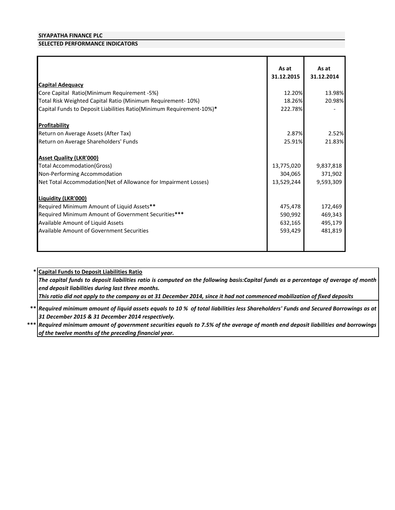# **SELECTED PERFORMANCE INDICATORS**

|                                                                      | As at<br>31.12.2015 | As at<br>31.12.2014 |
|----------------------------------------------------------------------|---------------------|---------------------|
| <b>Capital Adequacy</b>                                              |                     |                     |
| Core Capital Ratio(Minimum Requirement -5%)                          | 12.20%              | 13.98%              |
| Total Risk Weighted Capital Ratio (Minimum Requirement- 10%)         | 18.26%              | 20.98%              |
| Capital Funds to Deposit Liabilities Ratio(Minimum Requirement-10%)* | 222.78%             |                     |
| Profitability                                                        |                     |                     |
| Return on Average Assets (After Tax)                                 | 2.87%               | 2.52%               |
| Return on Average Shareholders' Funds                                | 25.91%              | 21.83%              |
| <b>Asset Quality (LKR'000)</b>                                       |                     |                     |
| <b>Total Accommodation (Gross)</b>                                   | 13,775,020          | 9,837,818           |
| Non-Performing Accommodation                                         | 304,065             | 371,902             |
| Net Total Accommodation(Net of Allowance for Impairment Losses)      | 13,529,244          | 9,593,309           |
| <b>Liquidity (LKR'000)</b>                                           |                     |                     |
| Required Minimum Amount of Liquid Assets**                           | 475,478             | 172,469             |
| Required Minimum Amount of Government Securities***                  | 590,992             | 469,343             |
| Available Amount of Liquid Assets                                    | 632,165             | 495,179             |
| <b>Available Amount of Government Securities</b>                     | 593,429             | 481,819             |
|                                                                      |                     |                     |

# **\* Capital Funds to Deposit Liabilities Ratio**

The capital funds to deposit liabilities ratio is computed on the following basis:Capital funds as a percentage of average of month *end deposit liabilities during last three months.*

*This ratio did not apply to the company as at 31 December 2014, since it had not commenced mobilization of fixed deposits* 

\*\* |Required minimum amount of liquid assets equals to 10 % of total liabilities less Shareholders' Funds and Secured Borrowings as at *31 December 2015 & 31 December 2014 respectively.*

 $***$  |Required minimum amount of government securities equals to 7.5% of the average of month end deposit liabilities and borrowings *of the twelve months of the preceding financial year.*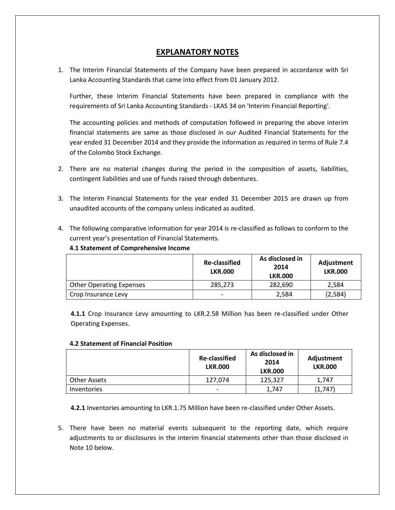# **EXPLANATORY NOTES**

1. The Interim Financial Statements of the Company have been prepared in accordance with Sri Lanka Accounting Standards that came into effect from 01 January 2012.

Further, these Interim Financial Statements have been prepared in compliance with the requirements of Sri Lanka Accounting Standards - LKAS 34 on 'Interim Financial Reporting'.

The accounting policies and methods of computation followed in preparing the above interim financial statements are same as those disclosed in our Audited Financial Statements for the year ended 31 December 2014 and they provide the information as required in terms of Rule 7.4 of the Colombo Stock Exchange.

- 2. There are no material changes during the period in the composition of assets, liabilities, contingent liabilities and use of funds raised through debentures.
- 3. The Interim Financial Statements for the year ended 31 December 2015 are drawn up from unaudited accounts of the company unless indicated as audited.
- 4. The following comparative information for year 2014 is re-classified as follows to conform to the current year's presentation of Financial Statements.

### **4.1 Statement of Comprehensive Income**

|                                 | <b>Re-classified</b><br><b>LKR.000</b> | As disclosed in<br>2014<br><b>LKR.000</b> | Adjustment<br><b>LKR.000</b> |
|---------------------------------|----------------------------------------|-------------------------------------------|------------------------------|
| <b>Other Operating Expenses</b> | 285,273                                | 282.690                                   | 2.584                        |
| Crop Insurance Levy             | $\overline{\phantom{0}}$               | 2.584                                     | (2,584)                      |

**4.1.1** Crop Insurance Levy amounting to LKR.2.58 Million has been re-classified under Other Operating Expenses.

### **4.2 Statement of Financial Position**

|                     | <b>Re-classified</b><br><b>LKR.000</b> | As disclosed in<br>2014<br><b>LKR.000</b> | Adjustment<br><b>LKR.000</b> |
|---------------------|----------------------------------------|-------------------------------------------|------------------------------|
| <b>Other Assets</b> | 127.074                                | 125,327                                   | 1.747                        |
| Inventories         | $\overline{\phantom{0}}$               | 1.747                                     | (1,747)                      |

**4.2.1** Inventories amounting to LKR.1.75 Million have been re-classified under Other Assets.

5. There have been no material events subsequent to the reporting date, which require adjustments to or disclosures in the interim financial statements other than those disclosed in Note 10 below.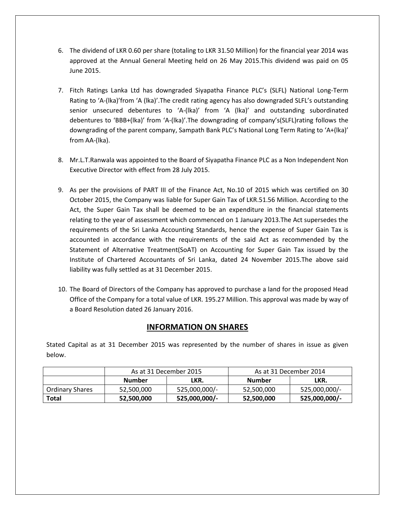- 6. The dividend of LKR 0.60 per share (totaling to LKR 31.50 Million) for the financial year 2014 was approved at the Annual General Meeting held on 26 May 2015.This dividend was paid on 05 June 2015.
- 7. Fitch Ratings Lanka Ltd has downgraded Siyapatha Finance PLC's (SLFL) National Long-Term Rating to 'A-(lka)'from 'A (lka)'.The credit rating agency has also downgraded SLFL's outstanding senior unsecured debentures to 'A-(lka)' from 'A (lka)' and outstanding subordinated debentures to 'BBB+(lka)' from 'A-(lka)'.The downgrading of company's(SLFL)rating follows the downgrading of the parent company, Sampath Bank PLC's National Long Term Rating to 'A+(lka)' from AA-(lka).
- 8. Mr.L.T.Ranwala was appointed to the Board of Siyapatha Finance PLC as a Non Independent Non Executive Director with effect from 28 July 2015.
- 9. As per the provisions of PART III of the Finance Act, No.10 of 2015 which was certified on 30 October 2015, the Company was liable for Super Gain Tax of LKR.51.56 Million. According to the Act, the Super Gain Tax shall be deemed to be an expenditure in the financial statements relating to the year of assessment which commenced on 1 January 2013.The Act supersedes the requirements of the Sri Lanka Accounting Standards, hence the expense of Super Gain Tax is accounted in accordance with the requirements of the said Act as recommended by the Statement of Alternative Treatment(SoAT) on Accounting for Super Gain Tax issued by the Institute of Chartered Accountants of Sri Lanka, dated 24 November 2015.The above said liability was fully settled as at 31 December 2015.
- 10. The Board of Directors of the Company has approved to purchase a land for the proposed Head Office of the Company for a total value of LKR. 195.27 Million. This approval was made by way of a Board Resolution dated 26 January 2016.

# **INFORMATION ON SHARES**

Stated Capital as at 31 December 2015 was represented by the number of shares in issue as given below.

|                        | As at 31 December 2015 |               | As at 31 December 2014 |               |
|------------------------|------------------------|---------------|------------------------|---------------|
|                        | <b>Number</b>          | LKR.          | <b>Number</b>          | LKR.          |
| <b>Ordinary Shares</b> | 52,500,000             | 525,000,000/- | 52,500,000             | 525,000,000/- |
| <b>Total</b>           | 52,500,000             | 525,000,000/- | 52,500,000             | 525,000,000/- |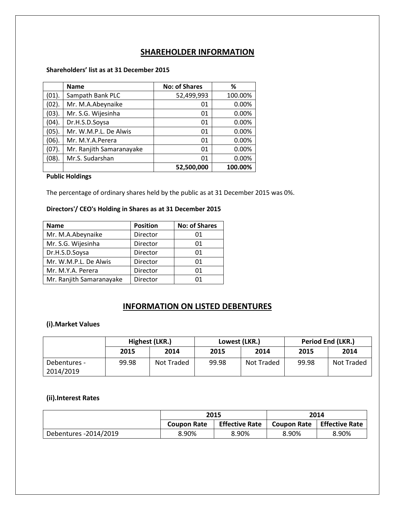# **SHAREHOLDER INFORMATION**

# **Shareholders' list as at 31 December 2015**

|          | <b>Name</b>              | <b>No: of Shares</b> | ℅       |
|----------|--------------------------|----------------------|---------|
| (01).    | Sampath Bank PLC         | 52,499,993           | 100.00% |
| (02).    | Mr. M.A.Abeynaike        | 01                   | 0.00%   |
| $(03)$ . | Mr. S.G. Wijesinha       | 01                   | 0.00%   |
| (04).    | Dr.H.S.D.Soysa           | 01                   | 0.00%   |
| (05).    | Mr. W.M.P.L. De Alwis    | 01                   | 0.00%   |
| (06).    | Mr. M.Y.A.Perera         | 01                   | 0.00%   |
| (07).    | Mr. Ranjith Samaranayake | 01                   | 0.00%   |
| (08).    | Mr.S. Sudarshan          | 01                   | 0.00%   |
|          |                          | 52,500,000           | 100.00% |

**Public Holdings**

The percentage of ordinary shares held by the public as at 31 December 2015 was 0%.

# **Directors'/ CEO's Holding in Shares as at 31 December 2015**

| <b>Name</b>              | <b>Position</b> | <b>No: of Shares</b> |
|--------------------------|-----------------|----------------------|
| Mr. M.A.Abeynaike        | Director        | 01                   |
| Mr. S.G. Wijesinha       | Director        | 01                   |
| Dr.H.S.D.Soysa           | Director        | 01                   |
| Mr. W.M.P.L. De Alwis    | Director        | 01                   |
| Mr. M.Y.A. Perera        | Director        | 01                   |
| Mr. Ranjith Samaranayake | Director        | በ1                   |

# **INFORMATION ON LISTED DEBENTURES**

# **(i).Market Values**

|                           | Highest (LKR.) |            | Lowest (LKR.) |            | <b>Period End (LKR.)</b> |            |
|---------------------------|----------------|------------|---------------|------------|--------------------------|------------|
|                           | 2015           | 2014       | 2015          | 2014       | 2015                     | 2014       |
| Debentures -<br>2014/2019 | 99.98          | Not Traded | 99.98         | Not Traded | 99.98                    | Not Traded |

# **(ii).Interest Rates**

|                       |                                             | 2015  |                    | 2014                  |
|-----------------------|---------------------------------------------|-------|--------------------|-----------------------|
|                       | <b>Effective Rate</b><br><b>Coupon Rate</b> |       | <b>Coupon Rate</b> | <b>Effective Rate</b> |
| Debentures -2014/2019 | 8.90%                                       | 8.90% | 8.90%              | 8.90%                 |